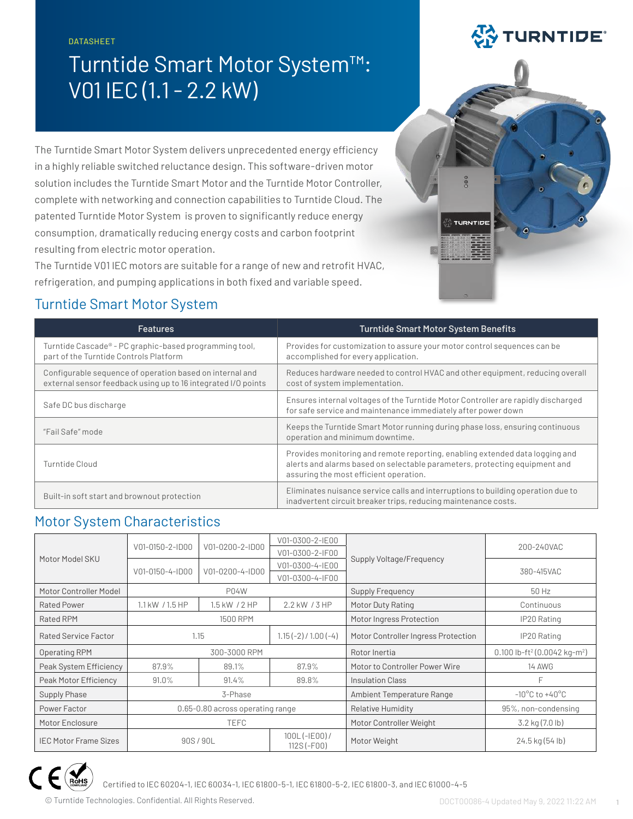DATASHEET

# Turntide Smart Motor System™: V01 IEC (1.1 - 2.2 kW)

The Turntide Smart Motor System delivers unprecedented energy efficiency in a highly reliable switched reluctance design. This software-driven motor solution includes the Turntide Smart Motor and the Turntide Motor Controller, complete with networking and connection capabilities to Turntide Cloud. The patented Turntide Motor System is proven to significantly reduce energy consumption, dramatically reducing energy costs and carbon footprint resulting from electric motor operation.

The Turntide V01 IEC motors are suitable for a range of new and retrofit HVAC, refrigeration, and pumping applications in both fixed and variable speed.

# Turntide Smart Motor System

| <b>Features</b>                                                                                                           | <b>Turntide Smart Motor System Benefits</b>                                                                                                                                                          |
|---------------------------------------------------------------------------------------------------------------------------|------------------------------------------------------------------------------------------------------------------------------------------------------------------------------------------------------|
| Turntide Cascade <sup>®</sup> - PC graphic-based programming tool,<br>part of the Turntide Controls Platform              | Provides for customization to assure your motor control sequences can be<br>accomplished for every application.                                                                                      |
| Configurable sequence of operation based on internal and<br>external sensor feedback using up to 16 integrated I/O points | Reduces hardware needed to control HVAC and other equipment, reducing overall<br>cost of system implementation.                                                                                      |
| Safe DC bus discharge                                                                                                     | Ensures internal voltages of the Turntide Motor Controller are rapidly discharged<br>for safe service and maintenance immediately after power down                                                   |
| "Fail Safe" mode                                                                                                          | Keeps the Turntide Smart Motor running during phase loss, ensuring continuous<br>operation and minimum downtime.                                                                                     |
| Turntide Cloud                                                                                                            | Provides monitoring and remote reporting, enabling extended data logging and<br>alerts and alarms based on selectable parameters, protecting equipment and<br>assuring the most efficient operation. |
| Built-in soft start and brownout protection                                                                               | Eliminates nuisance service calls and interruptions to building operation due to<br>inadvertent circuit breaker trips, reducing maintenance costs.                                                   |

# Motor System Characteristics

|                              | V01-0150-2-ID00                  | V01-0200-2-ID00 | V01-0300-2-IE00                   |                                     | 200-240VAC                                           |  |
|------------------------------|----------------------------------|-----------------|-----------------------------------|-------------------------------------|------------------------------------------------------|--|
| Motor Model SKU              |                                  |                 | V01-0300-2-IF00                   | Supply Voltage/Frequency            |                                                      |  |
|                              | V01-0150-4-ID00                  | V01-0200-4-ID00 | V01-0300-4-IE00                   |                                     | 380-415VAC                                           |  |
|                              |                                  |                 | V01-0300-4-IF00                   |                                     |                                                      |  |
| Motor Controller Model       | <b>P04W</b>                      |                 | Supply Frequency                  | 50 Hz                               |                                                      |  |
| Rated Power                  | $1.1$ kW $/1.5$ HP               | 1.5 kW / 2 HP   | 2.2 kW / 3 HP                     | Motor Duty Rating                   | Continuous                                           |  |
| <b>Rated RPM</b>             |                                  | 1500 RPM        |                                   | Motor Ingress Protection            | IP20 Rating                                          |  |
| Rated Service Factor         | 1.15                             |                 | $1.15(-2) / 1.00(-4)$             | Motor Controller Ingress Protection | IP20 Rating                                          |  |
| Operating RPM                | 300-3000 RPM                     |                 |                                   | Rotor Inertia                       | 0.100 lb-ft <sup>2</sup> (0.0042 kg-m <sup>2</sup> ) |  |
| Peak System Efficiency       | 87.9%<br>87.9%<br>89.1%          |                 | Motor to Controller Power Wire    | <b>14 AWG</b>                       |                                                      |  |
| Peak Motor Efficiency        | 91.0%                            | 91.4%           | 89.8%                             | Insulation Class                    | E                                                    |  |
| Supply Phase                 | 3-Phase                          |                 |                                   | Ambient Temperature Range           | $-10^{\circ}$ C to $+40^{\circ}$ C                   |  |
| Power Factor                 | 0.65-0.80 across operating range |                 | <b>Relative Humidity</b>          | 95%, non-condensing                 |                                                      |  |
| Motor Enclosure              | <b>TEFC</b>                      |                 | Motor Controller Weight           | $3.2$ kg $(7.0$ lb)                 |                                                      |  |
| <b>IEC Motor Frame Sizes</b> | 90S / 90L                        |                 | $100L (-IE00) /$<br>$112S (-F00)$ | Motor Weight                        | 24.5 kg (54 lb)                                      |  |



Certified to IEC 60204-1, IEC 60034-1, IEC 61800-5-1, IEC 61800-5-2, IEC 61800-3, and IEC 61000-4-5

© Turntide Technologies. Confidential. All Rights Reserved. DOCT00086-4 Updated May 9, 2022 11:22 AM **1**



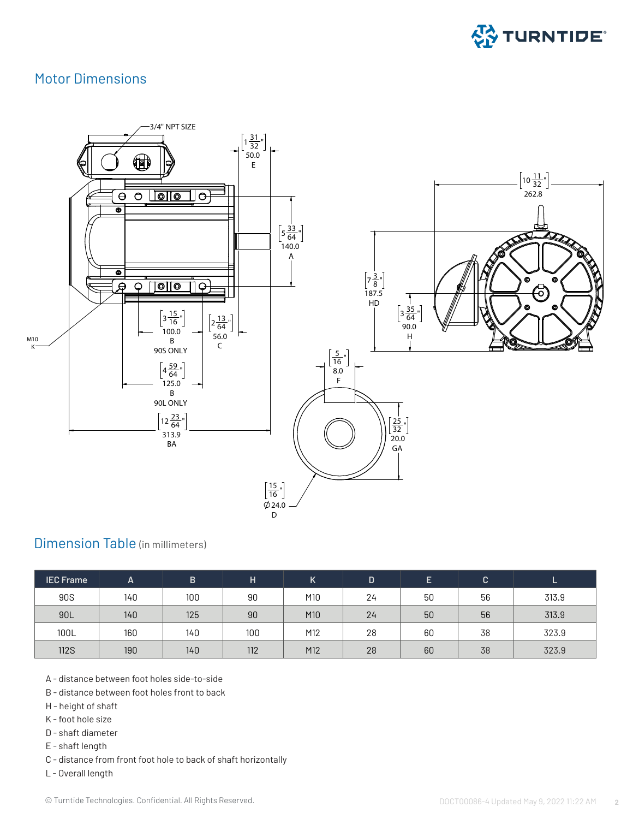

### Motor Dimensions



### Dimension Table (in millimeters)

| <b>IEC Frame</b> | A   | B   | н   | Κ   | n  | E  | $\mathsf{C}$ |       |  |
|------------------|-----|-----|-----|-----|----|----|--------------|-------|--|
| <b>90S</b>       | 140 | 100 | 90  | M10 | 24 | 50 | 56           | 313.9 |  |
| 90L              | 140 | 125 | 90  | M10 | 24 | 50 | 56           | 313.9 |  |
| 100L             | 160 | 140 | 100 | M12 | 28 | 60 | 38           | 323.9 |  |
| <b>112S</b>      | 190 | 140 | 112 | M12 | 28 | 60 | 38           | 323.9 |  |

A - distance between foot holes side-to-side

- B distance between foot holes front to back
- H height of shaft
- K foot hole size
- D shaft diameter
- E shaft length
- C distance from front foot hole to back of shaft horizontally
- L Overall length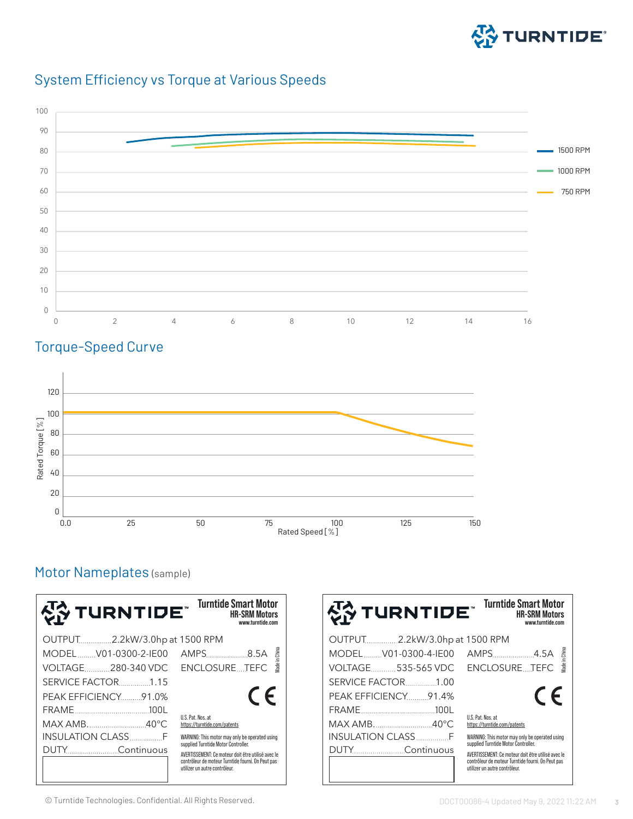

# System Efficiency vs Torque at Various Speeds



# Torque-Speed Curve



# Motor Nameplates (sample)

| 상 TURNTIDE¨                   | <b>Turntide Smart Motor</b><br><b>HR-SRM Motors</b><br>www.turntide.com                   |  |  |  |  |
|-------------------------------|-------------------------------------------------------------------------------------------|--|--|--|--|
| OUTPUT2.2kW/3.0hp at 1500 RPM |                                                                                           |  |  |  |  |
| MODELV01-0300-2-IE00          | lade in China<br>AMPS8.5A                                                                 |  |  |  |  |
| VOLTAGE280-340 VDC            | <b>ENCLOSURETEFC</b>                                                                      |  |  |  |  |
| SERVICE FACTOR. 1.15          |                                                                                           |  |  |  |  |
| <b>PEAK EFFICIENCY 91.0%</b>  | $\epsilon$                                                                                |  |  |  |  |
|                               |                                                                                           |  |  |  |  |
| MAX AMB40°C                   | U.S. Pat. Nos. at<br>https://turntide.com/patents                                         |  |  |  |  |
|                               | WARNING: This motor may only be operated using                                            |  |  |  |  |
| DUTY Continuous               | supplied Turntide Motor Controller.<br>AVERTISSEMENT: Ce moteur doit être utilisé avec le |  |  |  |  |
|                               | contrôleur de moteur Turntide fourni. On Peut pas<br>utilizer un autre contrôleur.        |  |  |  |  |

| 상 TURNTIDE¨                   | <b>Turntide Smart Motor</b><br><b>HR-SRM Motors</b><br>www.turntide.com               |
|-------------------------------|---------------------------------------------------------------------------------------|
| OUTPUT2.2kW/3.0hp at 1500 RPM |                                                                                       |
| MODELV01-0300-4-IE00          | Nade in China                                                                         |
| VOLTAGE535-565 VDC            | ENCLOSURETEFC                                                                         |
|                               |                                                                                       |
| PEAK EFFICIENCY. 91.4%        | $\epsilon$                                                                            |
|                               |                                                                                       |
|                               | U.S. Pat. Nos. at<br>https://turntide.com/patents                                     |
|                               | WARNING: This motor may only be operated using<br>supplied Turntide Motor Controller. |
|                               | AVERTISSEMENT: Ce moteur doit être utilisé avec le                                    |
|                               | contrôleur de moteur Turntide fourni. On Peut pas<br>utilizer un autre contrôleur.    |

© Turntide Technologies. Confidential. All Rights Reserved. DOCT00086-4 Updated May 9, 2022 11:22 AM **3**